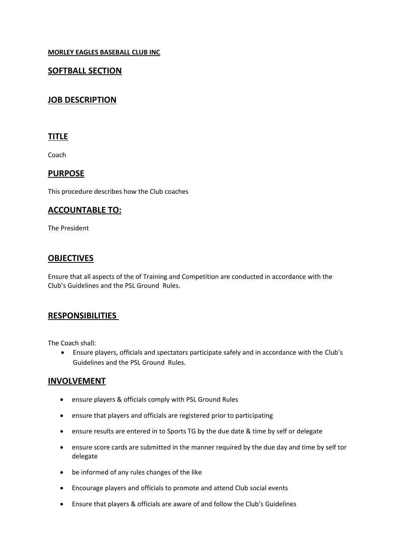**MORLEY EAGLES BASEBALL CLUB INC**

## **SOFTBALL SECTION**

# **JOB DESCRIPTION**

#### **TITLE**

Coach

#### **PURPOSE**

This procedure describes how the Club coaches

#### **ACCOUNTABLE TO:**

The President

### **OBJECTIVES**

Ensure that all aspects of the of Training and Competition are conducted in accordance with the Club's Guidelines and the PSL Ground Rules.

### **RESPONSIBILITIES**

The Coach shall:

 Ensure players, officials and spectators participate safely and in accordance with the Club's Guidelines and the PSL Ground Rules.

### **INVOLVEMENT**

- ensure players & officials comply with PSL Ground Rules
- ensure that players and officials are registered prior to participating
- ensure results are entered in to Sports TG by the due date & time by self or delegate
- ensure score cards are submitted in the manner required by the due day and time by self tor delegate
- be informed of any rules changes of the like
- Encourage players and officials to promote and attend Club social events
- Ensure that players & officials are aware of and follow the Club's Guidelines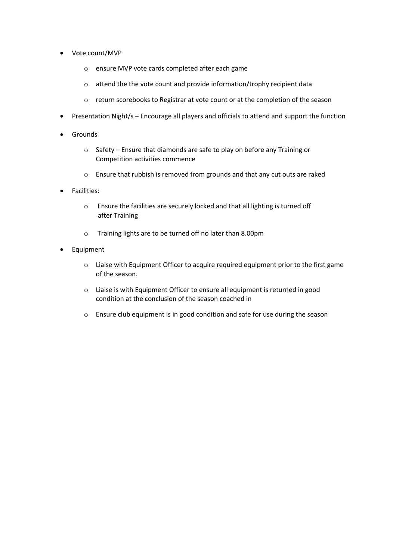- Vote count/MVP
	- o ensure MVP vote cards completed after each game
	- o attend the the vote count and provide information/trophy recipient data
	- o return scorebooks to Registrar at vote count or at the completion of the season
- Presentation Night/s Encourage all players and officials to attend and support the function
- **•** Grounds
	- o Safety Ensure that diamonds are safe to play on before any Training or Competition activities commence
	- o Ensure that rubbish is removed from grounds and that any cut outs are raked
- **•** Facilities:
	- o Ensure the facilities are securely locked and that all lighting is turned off after Training
	- o Training lights are to be turned off no later than 8.00pm
- Equipment
	- o Liaise with Equipment Officer to acquire required equipment prior to the first game of the season.
	- o Liaise is with Equipment Officer to ensure all equipment is returned in good condition at the conclusion of the season coached in
	- o Ensure club equipment is in good condition and safe for use during the season